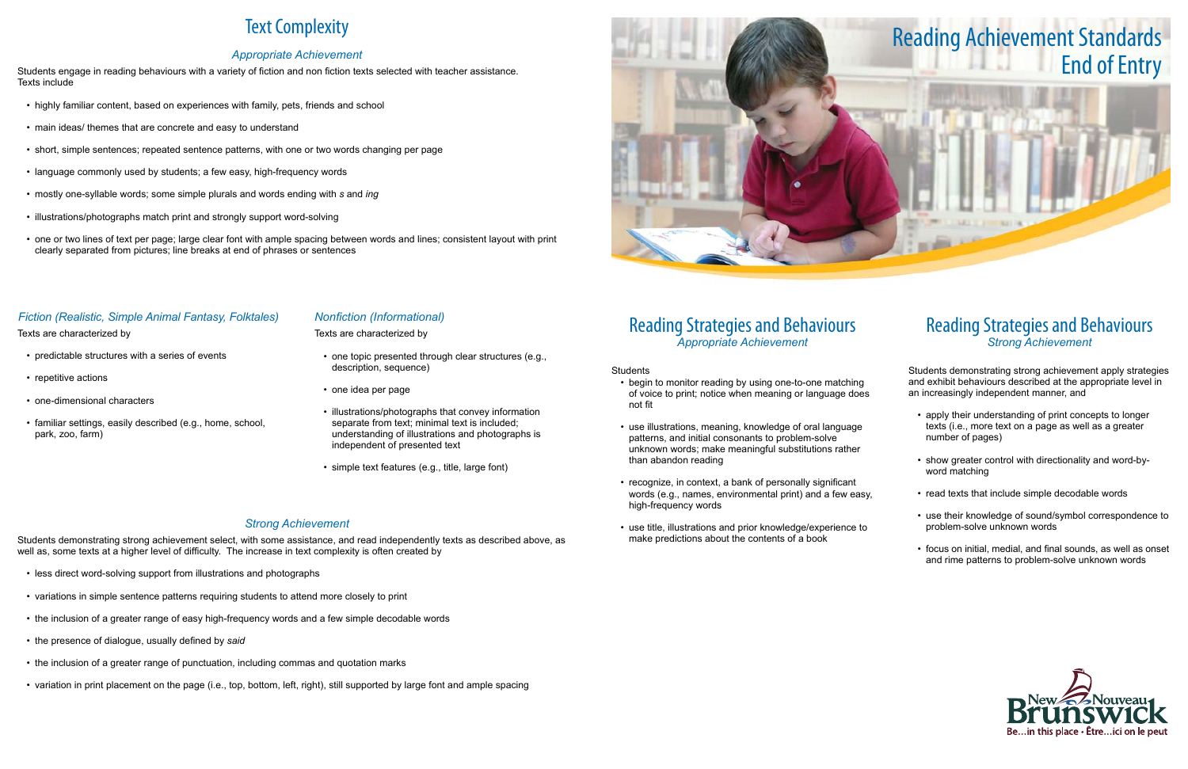## Reading Strategies and Behaviours *Appropriate Achievement*

Students

- begin to monitor reading by using one-to-one matching of voice to print; notice when meaning or language does not fit
- • use illustrations, meaning, knowledge of oral language patterns, and initial consonants to problem-solve unknown words; make meaningful substitutions rather than abandon reading
- recognize, in context, a bank of personally significant words (e.g., names, environmental print) and a few easy, high-frequency words
- • use title, illustrations and prior knowledge/experience to make predictions about the contents of a book

- apply their understanding of print concepts to longer texts (i.e., more text on a page as well as a greater number of pages)
- show greater control with directionality and word-byword matching
- read texts that include simple decodable words
- • use their knowledge of sound/symbol correspondence to problem-solve unknown words
- focus on initial, medial, and final sounds, as well as onset and rime patterns to problem-solve unknown words



## Reading Strategies and Behaviours *Strong Achievement*

Students demonstrating strong achievement apply strategies and exhibit behaviours described at the appropriate level in an increasingly independent manner, and

- highly familiar content, based on experiences with family, pets, friends and school
- main ideas/ themes that are concrete and easy to understand
- short, simple sentences; repeated sentence patterns, with one or two words changing per page
- language commonly used by students; a few easy, high-frequency words
- • mostly one-syllable words; some simple plurals and words ending with *s* and *ing*
- illustrations/photographs match print and strongly support word-solving
- • one or two lines of text per page; large clear font with ample spacing between words and lines; consistent layout with print clearly separated from pictures; line breaks at end of phrases or sentences

- predictable structures with a series of events
- repetitive actions
- one-dimensional characters
- • familiar settings, easily described (e.g., home, school, park, zoo, farm)

# Text Complexity

### *Appropriate Achievement*

- one topic presented through clear structures (e.g., description, sequence)
- one idea per page
- **I** illustrations/photographs that convey information separate from text; minimal text is included; understanding of illustrations and photographs is independent of presented text
- • simple text features (e.g., title, large font)

Students engage in reading behaviours with a variety of fiction and non fiction texts selected with teacher assistance. Texts include

### *Fiction (Realistic, Simple Animal Fantasy, Folktales)*

Texts are characterized by

#### *Nonfiction (Informational)*

Texts are characterized by

#### *Strong Achievement*

Students demonstrating strong achievement select, with some assistance, and read independently texts as described above, as well as, some texts at a higher level of difficulty. The increase in text complexity is often created by

- less direct word-solving support from illustrations and photographs
- • variations in simple sentence patterns requiring students to attend more closely to print
- the inclusion of a greater range of easy high-frequency words and a few simple decodable words
- • the presence of dialogue, usually defined by *said*
- the inclusion of a greater range of punctuation, including commas and quotation marks
- variation in print placement on the page (i.e., top, bottom, left, right), still supported by large font and ample spacing